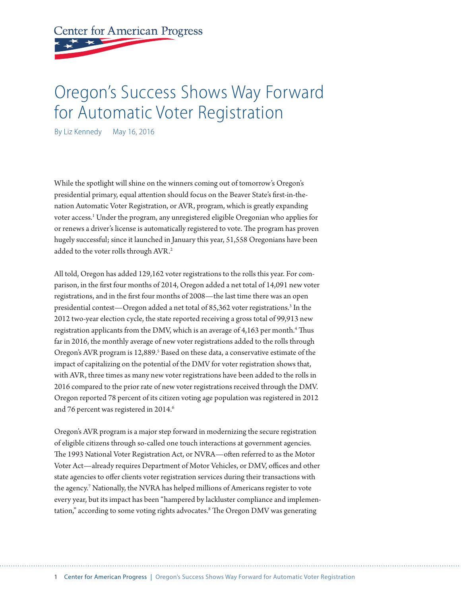## **Center for American Progress**

## Oregon's Success Shows Way Forward for Automatic Voter Registration

By Liz Kennedy May 16, 2016

While the spotlight will shine on the winners coming out of tomorrow's Oregon's presidential primary, equal attention should focus on the Beaver State's first-in-thenation Automatic Voter Registration, or AVR, program, which is greatly expanding voter access.<sup>1</sup> Under the program, any unregistered eligible Oregonian who applies for or renews a driver's license is automatically registered to vote. The program has proven hugely successful; since it launched in January this year, 51,558 Oregonians have been added to the voter rolls through AVR.<sup>2</sup>

All told, Oregon has added 129,162 voter registrations to the rolls this year. For comparison, in the first four months of 2014, Oregon added a net total of 14,091 new voter registrations, and in the first four months of 2008—the last time there was an open presidential contest—Oregon added a net total of 85,362 voter registrations.<sup>3</sup> In the 2012 two-year election cycle, the state reported receiving a gross total of 99,913 new registration applicants from the DMV, which is an average of 4,163 per month.<sup>4</sup> Thus far in 2016, the monthly average of new voter registrations added to the rolls through Oregon's AVR program is 12,889.<sup>5</sup> Based on these data, a conservative estimate of the impact of capitalizing on the potential of the DMV for voter registration shows that, with AVR, three times as many new voter registrations have been added to the rolls in 2016 compared to the prior rate of new voter registrations received through the DMV. Oregon reported 78 percent of its citizen voting age population was registered in 2012 and 76 percent was registered in 2014.<sup>6</sup>

Oregon's AVR program is a major step forward in modernizing the secure registration of eligible citizens through so-called one touch interactions at government agencies. The 1993 National Voter Registration Act, or NVRA—often referred to as the Motor Voter Act—already requires Department of Motor Vehicles, or DMV, offices and other state agencies to offer clients voter registration services during their transactions with the agency.7 Nationally, the NVRA has helped millions of Americans register to vote every year, but its impact has been "hampered by lackluster compliance and implementation," according to some voting rights advocates.8 The Oregon DMV was generating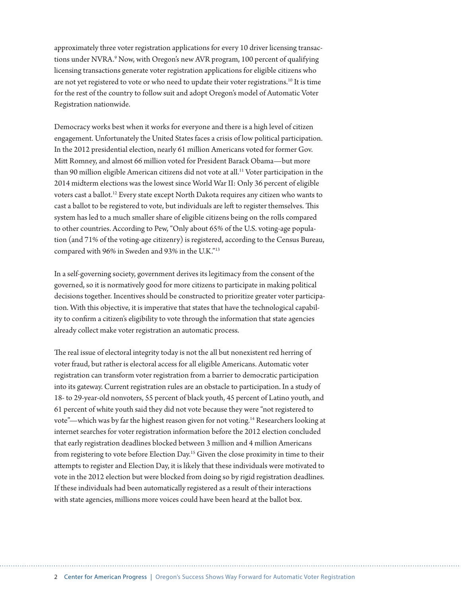approximately three voter registration applications for every 10 driver licensing transactions under NVRA.<sup>9</sup> Now, with Oregon's new AVR program, 100 percent of qualifying licensing transactions generate voter registration applications for eligible citizens who are not yet registered to vote or who need to update their voter registrations.<sup>10</sup> It is time for the rest of the country to follow suit and adopt Oregon's model of Automatic Voter Registration nationwide.

Democracy works best when it works for everyone and there is a high level of citizen engagement. Unfortunately the United States faces a crisis of low political participation. In the 2012 presidential election, nearly 61 million Americans voted for former Gov. Mitt Romney, and almost 66 million voted for President Barack Obama—but more than 90 million eligible American citizens did not vote at all.<sup>11</sup> Voter participation in the 2014 midterm elections was the lowest since World War II: Only 36 percent of eligible voters cast a ballot.12 Every state except North Dakota requires any citizen who wants to cast a ballot to be registered to vote, but individuals are left to register themselves. This system has led to a much smaller share of eligible citizens being on the rolls compared to other countries. According to Pew, "Only about 65% of the U.S. voting-age population (and 71% of the voting-age citizenry) is registered, according to the Census Bureau, compared with 96% in Sweden and 93% in the U.K."13

In a self-governing society, government derives its legitimacy from the consent of the governed, so it is normatively good for more citizens to participate in making political decisions together. Incentives should be constructed to prioritize greater voter participation. With this objective, it is imperative that states that have the technological capability to confirm a citizen's eligibility to vote through the information that state agencies already collect make voter registration an automatic process.

The real issue of electoral integrity today is not the all but nonexistent red herring of voter fraud, but rather is electoral access for all eligible Americans. Automatic voter registration can transform voter registration from a barrier to democratic participation into its gateway. Current registration rules are an obstacle to participation. In a study of 18- to 29-year-old nonvoters, 55 percent of black youth, 45 percent of Latino youth, and 61 percent of white youth said they did not vote because they were "not registered to vote"—which was by far the highest reason given for not voting.14 Researchers looking at internet searches for voter registration information before the 2012 election concluded that early registration deadlines blocked between 3 million and 4 million Americans from registering to vote before Election Day.15 Given the close proximity in time to their attempts to register and Election Day, it is likely that these individuals were motivated to vote in the 2012 election but were blocked from doing so by rigid registration deadlines. If these individuals had been automatically registered as a result of their interactions with state agencies, millions more voices could have been heard at the ballot box.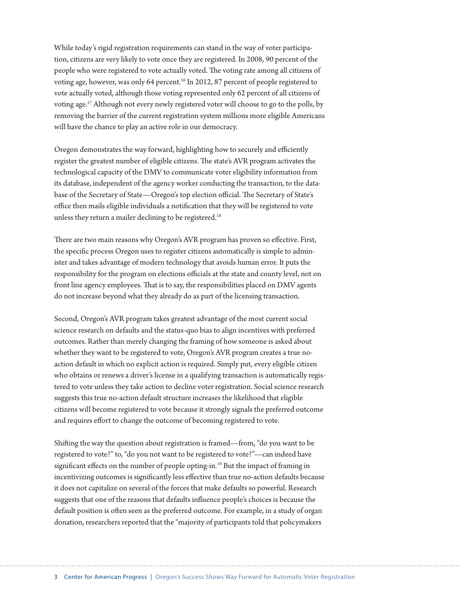While today's rigid registration requirements can stand in the way of voter participation, citizens are very likely to vote once they are registered. In 2008, 90 percent of the people who were registered to vote actually voted. The voting rate among all citizens of voting age, however, was only 64 percent.<sup>16</sup> In 2012, 87 percent of people registered to vote actually voted, although those voting represented only 62 percent of all citizens of voting age.17 Although not every newly registered voter will choose to go to the polls, by removing the barrier of the current registration system millions more eligible Americans will have the chance to play an active role in our democracy.

Oregon demonstrates the way forward, highlighting how to securely and efficiently register the greatest number of eligible citizens. The state's AVR program activates the technological capacity of the DMV to communicate voter eligibility information from its database, independent of the agency worker conducting the transaction, to the database of the Secretary of State—Oregon's top election official. The Secretary of State's office then mails eligible individuals a notification that they will be registered to vote unless they return a mailer declining to be registered.<sup>18</sup>

There are two main reasons why Oregon's AVR program has proven so effective. First, the specific process Oregon uses to register citizens automatically is simple to administer and takes advantage of modern technology that avoids human error. It puts the responsibility for the program on elections officials at the state and county level, not on front line agency employees. That is to say, the responsibilities placed on DMV agents do not increase beyond what they already do as part of the licensing transaction.

Second, Oregon's AVR program takes greatest advantage of the most current social science research on defaults and the status-quo bias to align incentives with preferred outcomes. Rather than merely changing the framing of how someone is asked about whether they want to be registered to vote, Oregon's AVR program creates a true noaction default in which no explicit action is required. Simply put, every eligible citizen who obtains or renews a driver's license in a qualifying transaction is automatically registered to vote unless they take action to decline voter registration. Social science research suggests this true no-action default structure increases the likelihood that eligible citizens will become registered to vote because it strongly signals the preferred outcome and requires effort to change the outcome of becoming registered to vote.

Shifting the way the question about registration is framed—from, "do you want to be registered to vote?" to, "do you not want to be registered to vote?"—can indeed have significant effects on the number of people opting-in.<sup>19</sup> But the impact of framing in incentivizing outcomes is significantly less effective than true no-action defaults because it does not capitalize on several of the forces that make defaults so powerful. Research suggests that one of the reasons that defaults influence people's choices is because the default position is often seen as the preferred outcome. For example, in a study of organ donation, researchers reported that the "majority of participants told that policymakers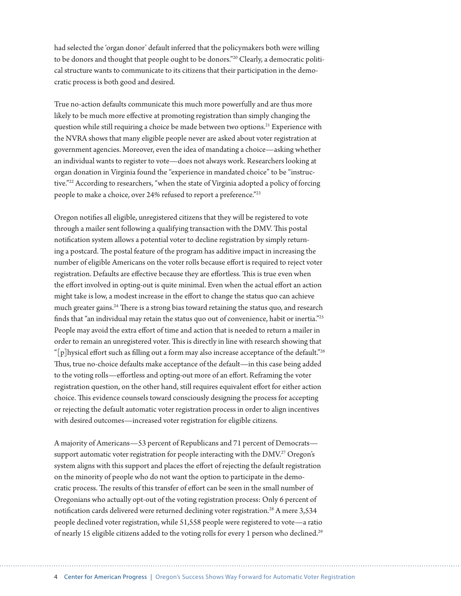had selected the 'organ donor' default inferred that the policymakers both were willing to be donors and thought that people ought to be donors."20 Clearly, a democratic political structure wants to communicate to its citizens that their participation in the democratic process is both good and desired.

True no-action defaults communicate this much more powerfully and are thus more likely to be much more effective at promoting registration than simply changing the question while still requiring a choice be made between two options.<sup>21</sup> Experience with the NVRA shows that many eligible people never are asked about voter registration at government agencies. Moreover, even the idea of mandating a choice—asking whether an individual wants to register to vote—does not always work. Researchers looking at organ donation in Virginia found the "experience in mandated choice" to be "instructive."22 According to researchers, "when the state of Virginia adopted a policy of forcing people to make a choice, over 24% refused to report a preference."23

Oregon notifies all eligible, unregistered citizens that they will be registered to vote through a mailer sent following a qualifying transaction with the DMV. This postal notification system allows a potential voter to decline registration by simply returning a postcard. The postal feature of the program has additive impact in increasing the number of eligible Americans on the voter rolls because effort is required to reject voter registration. Defaults are effective because they are effortless. This is true even when the effort involved in opting-out is quite minimal. Even when the actual effort an action might take is low, a modest increase in the effort to change the status quo can achieve much greater gains.<sup>24</sup> There is a strong bias toward retaining the status quo, and research finds that "an individual may retain the status quo out of convenience, habit or inertia."25 People may avoid the extra effort of time and action that is needed to return a mailer in order to remain an unregistered voter. This is directly in line with research showing that " $[p]$ hysical effort such as filling out a form may also increase acceptance of the default."<sup>26</sup> Thus, true no-choice defaults make acceptance of the default—in this case being added to the voting rolls—effortless and opting-out more of an effort. Reframing the voter registration question, on the other hand, still requires equivalent effort for either action choice. This evidence counsels toward consciously designing the process for accepting or rejecting the default automatic voter registration process in order to align incentives with desired outcomes—increased voter registration for eligible citizens.

A majority of Americans—53 percent of Republicans and 71 percent of Democrats support automatic voter registration for people interacting with the DMV.<sup>27</sup> Oregon's system aligns with this support and places the effort of rejecting the default registration on the minority of people who do not want the option to participate in the democratic process. The results of this transfer of effort can be seen in the small number of Oregonians who actually opt-out of the voting registration process: Only 6 percent of notification cards delivered were returned declining voter registration.<sup>28</sup> A mere 3,534 people declined voter registration, while 51,558 people were registered to vote—a ratio of nearly 15 eligible citizens added to the voting rolls for every 1 person who declined.<sup>29</sup>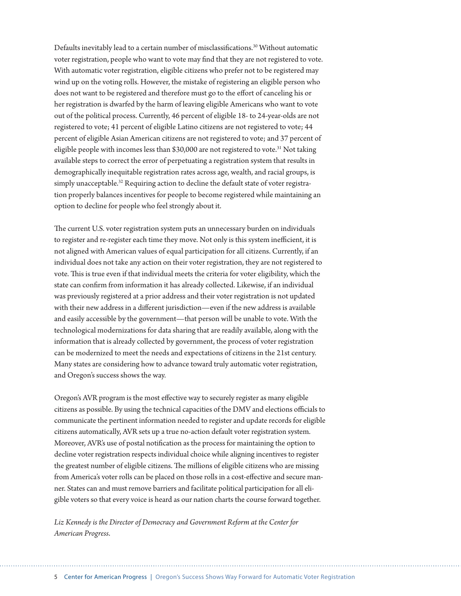Defaults inevitably lead to a certain number of misclassifications.30 Without automatic voter registration, people who want to vote may find that they are not registered to vote. With automatic voter registration, eligible citizens who prefer not to be registered may wind up on the voting rolls. However, the mistake of registering an eligible person who does not want to be registered and therefore must go to the effort of canceling his or her registration is dwarfed by the harm of leaving eligible Americans who want to vote out of the political process. Currently, 46 percent of eligible 18- to 24-year-olds are not registered to vote; 41 percent of eligible Latino citizens are not registered to vote; 44 percent of eligible Asian American citizens are not registered to vote; and 37 percent of eligible people with incomes less than \$30,000 are not registered to vote.<sup>31</sup> Not taking available steps to correct the error of perpetuating a registration system that results in demographically inequitable registration rates across age, wealth, and racial groups, is simply unacceptable.<sup>32</sup> Requiring action to decline the default state of voter registration properly balances incentives for people to become registered while maintaining an option to decline for people who feel strongly about it.

The current U.S. voter registration system puts an unnecessary burden on individuals to register and re-register each time they move. Not only is this system inefficient, it is not aligned with American values of equal participation for all citizens. Currently, if an individual does not take any action on their voter registration, they are not registered to vote. This is true even if that individual meets the criteria for voter eligibility, which the state can confirm from information it has already collected. Likewise, if an individual was previously registered at a prior address and their voter registration is not updated with their new address in a different jurisdiction—even if the new address is available and easily accessible by the government—that person will be unable to vote. With the technological modernizations for data sharing that are readily available, along with the information that is already collected by government, the process of voter registration can be modernized to meet the needs and expectations of citizens in the 21st century. Many states are considering how to advance toward truly automatic voter registration, and Oregon's success shows the way.

Oregon's AVR program is the most effective way to securely register as many eligible citizens as possible. By using the technical capacities of the DMV and elections officials to communicate the pertinent information needed to register and update records for eligible citizens automatically, AVR sets up a true no-action default voter registration system. Moreover, AVR's use of postal notification as the process for maintaining the option to decline voter registration respects individual choice while aligning incentives to register the greatest number of eligible citizens. The millions of eligible citizens who are missing from America's voter rolls can be placed on those rolls in a cost-effective and secure manner. States can and must remove barriers and facilitate political participation for all eligible voters so that every voice is heard as our nation charts the course forward together.

*Liz Kennedy is the Director of Democracy and Government Reform at the Center for American Progress*.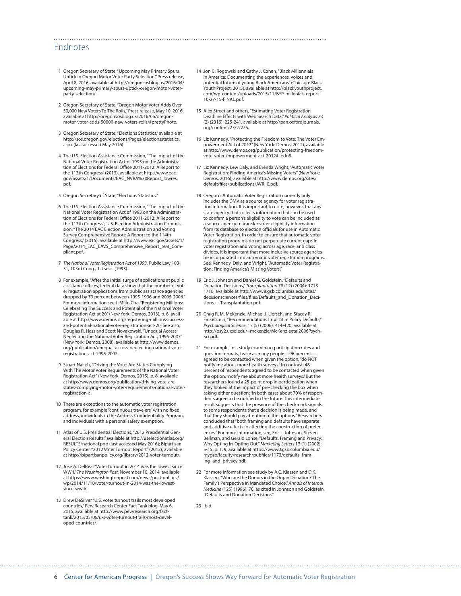## Endnotes

- 1 Oregon Secretary of State, "Upcoming May Primary Spurs Uptick in Oregon Motor Voter Party Selection," Press release, April 8, 2016, available at [http://oregonsosblog.us/2016/04/](http://oregonsosblog.us/2016/04/upcoming-may-primary-spurs-uptick-oregon-motor-voter-party-selection/) [upcoming-may-primary-spurs-uptick-oregon-motor-voter](http://oregonsosblog.us/2016/04/upcoming-may-primary-spurs-uptick-oregon-motor-voter-party-selection/)[party-selection/](http://oregonsosblog.us/2016/04/upcoming-may-primary-spurs-uptick-oregon-motor-voter-party-selection/).
- 2 Oregon Secretary of State, "Oregon Motor Voter Adds Over 50,000 New Voters To The Rolls," Press release, May 10, 2016, available at http://oregonsosblog.us/2016/05/oregonmotor-voter-adds-50000-new-voters-rolls/#prettyPhoto.
- 3 Oregon Secretary of State, "Elections Statistics," available at [http://sos.oregon.gov/elections/Pages/electionsstatistics.](http://sos.oregon.gov/elections/Pages/electionsstatistics.aspx) [aspx](http://sos.oregon.gov/elections/Pages/electionsstatistics.aspx) (last accessed May 2016)
- 4 The U.S. Election Assistance Commission, "The Impact of the National Voter Registration Act of 1993 on the Administration of Elections for Federal Office 2011-2012: A Report to the 113th Congress" (2013), available at [http://www.eac.](http://www.eac.gov/assets/1/Documents/EAC_NVRA%20Report_lowres.pdf) [gov/assets/1/Documents/EAC\\_NVRA%20Report\\_lowres.](http://www.eac.gov/assets/1/Documents/EAC_NVRA%20Report_lowres.pdf) [pdf](http://www.eac.gov/assets/1/Documents/EAC_NVRA%20Report_lowres.pdf).
- 5 Oregon Secretary of State, "Elections Statistics."
- 6 The U.S. Election Assistance Commission, "The Impact of the National Voter Registration Act of 1993 on the Administration of Elections for Federal Office 2011-2012: A Report to the 113th Congress"; U.S. Election Administration Commission, "The 2014 EAC Election Administration and Voting Survey Comprehensive Report: A Report to the 114th Congress," (2015), available at [http://www.eac.gov/assets/1/](http://www.eac.gov/assets/1/Page/2014_EAC_EAVS_Comprehensive_Report_508_Compliant.pdf) [Page/2014\\_EAC\\_EAVS\\_Comprehensive\\_Report\\_508\\_Com](http://www.eac.gov/assets/1/Page/2014_EAC_EAVS_Comprehensive_Report_508_Compliant.pdf)[pliant.pdf](http://www.eac.gov/assets/1/Page/2014_EAC_EAVS_Comprehensive_Report_508_Compliant.pdf).
- 7 *The National Voter Registration Act of 1993*, Public Law 103- 31, 103rd Cong., 1st sess. (1993).
- 8 For example, "After the initial surge of applications at public assistance offices, federal data show that the number of voter registration applications from public assistance agencies dropped by 79 percent between 1995-1996 and 2005-2006." For more information see J. Mijin Cha, "Registering Millions: Celebrating The Success and Potential of the National Voter Registration Act at 20" (New York: Demos, 2013), p. 6, available at [http://www.demos.org/registering-millions-success](http://www.demos.org/registering-millions-success-and-potential-national-voter-registration-act-20)[and-potential-national-voter-registration-act-20](http://www.demos.org/registering-millions-success-and-potential-national-voter-registration-act-20); See also, Douglas R. Hess and Scott Novakowski, "Unequal Access: Neglecting the National Voter Registration Act, 1995-2007" (New York: Demos, 2008), available at [http://www.demos.](http://www.demos.org/publication/unequal-access-neglecting-national-voter-registration-act-1995-2007) [org/publication/unequal-access-neglecting-national-voter](http://www.demos.org/publication/unequal-access-neglecting-national-voter-registration-act-1995-2007)[registration-act-1995-2007](http://www.demos.org/publication/unequal-access-neglecting-national-voter-registration-act-1995-2007).
- 9 Stuart Naifeh, "Driving the Vote: Are States Complying With The Motor Voter Requirements of the National Voter Registration Act" (New York: Demos, 2015), p. 8, available at [http://www.demos.org/publication/driving-vote-are](http://www.demos.org/publication/driving-vote-are-states-complying-motor-voter-requirements-national-voter-registration-a)[states-complying-motor-voter-requirements-national-voter](http://www.demos.org/publication/driving-vote-are-states-complying-motor-voter-requirements-national-voter-registration-a)[registration-a](http://www.demos.org/publication/driving-vote-are-states-complying-motor-voter-requirements-national-voter-registration-a).
- 10 There are exceptions to the automatic voter registration program, for example "continuous travelers" with no fixed address, individuals in the Address Confidentiality Program, and individuals with a personal safety exemption.
- 11 Atlas of U.S. Presidential Elections, "2012 Presidential General Election Results," available at [http://uselectionatlas.org/](http://uselectionatlas.org/RESULTS/national.php) [RESULTS/national.php](http://uselectionatlas.org/RESULTS/national.php) (last accessed May 2016); Bipartisan Policy Center, "2012 Voter Turnout Report" (2012), available at <http://bipartisanpolicy.org/library/2012-voter-turnout/>.
- 12 Jose A. DelReal "Voter turnout in 2014 was the lowest since WWII," *The Washington Post*, November 10, 2014, available at [https://www.washingtonpost.com/news/post-politics/](https://www.washingtonpost.com/news/post-politics/wp/2014/11/10/voter-turnout-in-2014-was-the-lowest-since-wwii/) [wp/2014/11/10/voter-turnout-in-2014-was-the-lowest](https://www.washingtonpost.com/news/post-politics/wp/2014/11/10/voter-turnout-in-2014-was-the-lowest-since-wwii/)[since-wwii/.](https://www.washingtonpost.com/news/post-politics/wp/2014/11/10/voter-turnout-in-2014-was-the-lowest-since-wwii/)
- 13 Drew DeSilver "U.S. voter turnout trails most developed countries," Pew Research Center Fact Tank blog, May 6, 2015, available at [http://www.pewresearch.org/fact](http://www.pewresearch.org/fact-tank/2015/05/06/u-s-voter-turnout-trails-most-developed-countries/)[tank/2015/05/06/u-s-voter-turnout-trails-most-devel](http://www.pewresearch.org/fact-tank/2015/05/06/u-s-voter-turnout-trails-most-developed-countries/)[oped-countries/.](http://www.pewresearch.org/fact-tank/2015/05/06/u-s-voter-turnout-trails-most-developed-countries/)

14 Jon C. Rogowski and Cathy J. Cohen, "Black Millennials in America: Documenting the experiences, voices and potential future of young Black Americans" (Chicago: Black Youth Project, 2015), available at [http://blackyouthproject.](http://blackyouthproject.com/wp-content/uploads/2015/11/BYP-millenials-report-10-27-15-FINAL.pdf) [com/wp-content/uploads/2015/11/BYP-millenials-report-](http://blackyouthproject.com/wp-content/uploads/2015/11/BYP-millenials-report-10-27-15-FINAL.pdf)[10-27-15-FINAL.pdf.](http://blackyouthproject.com/wp-content/uploads/2015/11/BYP-millenials-report-10-27-15-FINAL.pdf)

- 15 Alex Street and others, "Estimating Voter Registration Deadline Effects with Web Search Data," *Political Analysis* 23 (2) (2015): 225-241, available at [http://pan.oxfordjournals.](http://pan.oxfordjournals.org/content/23/2/225) [org/content/23/2/225.](http://pan.oxfordjournals.org/content/23/2/225)
- 16 Liz Kennedy, "Protecting the Freedom to Vote: The Voter Empowerment Act of 2012" (New York: Demos, 2012), available at http://www.demos.org/publication/protecting-freedomvote-voter-empowerment-act-2012#\_edn8.
- 17 Liz Kennedy, Lew Daly, and Brenda Wright, "Automatic Voter Registration: Finding America's Missing Voters" (New York: Demos, 2016), available at [http://www.demos.org/sites/](http://www.demos.org/sites/default/files/publications/AVR_0.pdf) [default/files/publications/AVR\\_0.pdf](http://www.demos.org/sites/default/files/publications/AVR_0.pdf).
- 18 Oregon's Automatic Voter Registration currently only includes the DMV as a source agency for voter registration information. It is important to note, however, that any state agency that collects information that can be used to confirm a person's eligibility to vote can be included as a source agency to transfer voter eligibility information from its database to election officials for use in Automatic Voter Registration. In order to ensure that automatic voter registration programs do not perpetuate current gaps in voter registration and voting across age, race, and class divides, it is important that more inclusive source agencies be incorporated into automatic voter registration programs. See, Kennedy, Daly, and Wright, "Automatic Voter Registration: Finding America's Missing Voters."
- 19 Eric J. Johnson and Daniel G. Goldstein, "Defaults and Donation Decisions," *Transplantation* 78 (12) (2004): 1713- 1716, available at [http://www8.gsb.columbia.edu/sites/](http://www8.gsb.columbia.edu/sites/decisionsciences/files/files/Defaults_and_Donation_Decisions_-_Transplantation.pdf) [decisionsciences/files/files/Defaults\\_and\\_Donation\\_Deci](http://www8.gsb.columbia.edu/sites/decisionsciences/files/files/Defaults_and_Donation_Decisions_-_Transplantation.pdf)sions - Transplantation.pdf.
- 20 Craig R. M. McKenzie, Michael J. Liersch, and Stacey R. Finkelstein, "Recommendations Implicit in Policy Defaults," *Psychological Science*, 17 (5) (2006): 414-420, available at [http://psy2.ucsd.edu/~mckenzie/McKenzieetal2006Psych-](http://psy2.ucsd.edu/~mckenzie/McKenzieetal2006PsychSci.pdf)[Sci.pdf](http://psy2.ucsd.edu/~mckenzie/McKenzieetal2006PsychSci.pdf).
- 21 For example, in a study examining participation rates and question formats, twice as many people—96 percent agreed to be contacted when given the option, "do NOT notify me about more health surveys." In contrast, 48 percent of respondents agreed to be contacted when given the option, "notify me about more health surveys." But the researchers found a 25-point drop in participation when they looked at the impact of pre-checking the box when asking either question: "in both cases about 70% of respondents agree to be notified in the future. This intermediate result suggests that the presence of the checkmark signals to some respondents that a decision is being made, and that they should pay attention to the options." Researchers concluded that "both framing and defaults have separate and additive effects in affecting the construction of preferences." For more information, see, Eric J. Johnson, Steven Bellman, and Gerald Lohse, "Defaults, Framing and Privacy: Why Opting In-Opting Out," *Marketing Letters* 13 (1) (2002): 5-15, p. 1, 9, available at [https://www0.gsb.columbia.edu/](https://www0.gsb.columbia.edu/mygsb/faculty/research/pubfiles/1173/defaults_framing_and_privacy.pdf) [mygsb/faculty/research/pubfiles/1173/defaults\\_fram](https://www0.gsb.columbia.edu/mygsb/faculty/research/pubfiles/1173/defaults_framing_and_privacy.pdf)[ing\\_and\\_privacy.pdf.](https://www0.gsb.columbia.edu/mygsb/faculty/research/pubfiles/1173/defaults_framing_and_privacy.pdf)
- 22 For more information see study by A.C. Klassen and D.K. Klassen, "Who are the Donors in the Organ Donation? The Family's Perspective in Mandated Choice," *Annals of Internal Medicine* (125) (1996): 70, as cited in Johnson and Goldstein, "Defaults and Donation Decisions."

23 Ibid.